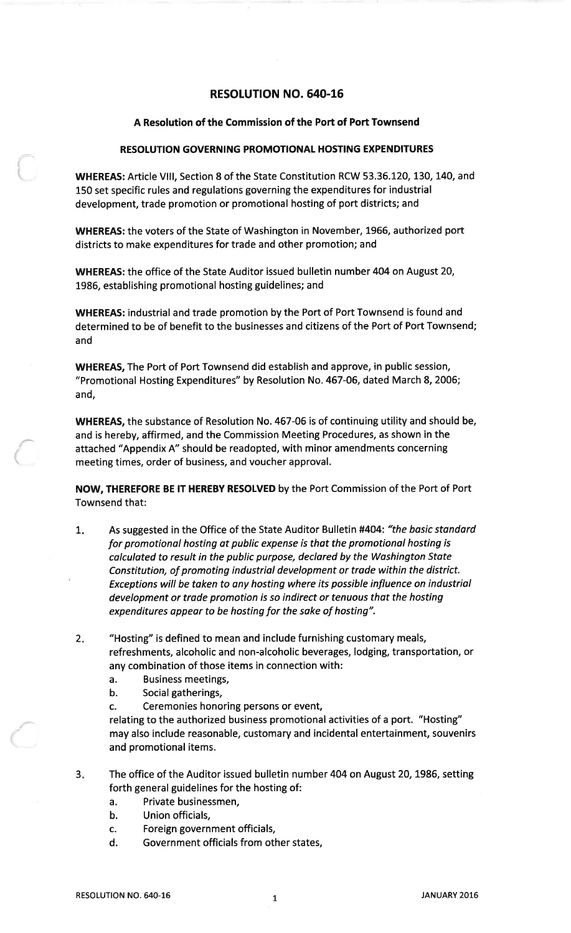# **RESOLUTION NO. 640-16**

## A Resolution of the Commission of the Port of Port Townsend

## **RESOLUTION GOVERNING PROMOTIONAL HOSTING EXPENDITURES**

WHEREAS: Article VIII, Section 8 of the State Constitution RCW 53.36.120, 130, 140, and 150 set specific rules and regulations governing the expenditures for industrial development, trade promotion or promotional hosting of port districts; and

WHEREAS: the voters of the State of Washington in November, 1966, authorized port districts to make expenditures for trade and other promotion; and

WHEREAS: the office of the State Auditor issued bulletin number 404 on August 20, 1986, establishing promotional hosting guidelines; and

WHEREAS: industrial and trade promotion by the Port of Port Townsend is found and determined to be of benefit to the businesses and citizens of the Port of Port Townsend; and

**WHEREAS, The Port of Port Townsend did establish and approve, in public session,** "Promotional Hosting Expenditures" by Resolution No. 467-06, dated March 8, 2006; and,

WHEREAS, the substance of Resolution No. 467-06 is of continuing utility and should be, and is hereby, affirmed, and the Commission Meeting Procedures, as shown in the attached "Appendix A" should be readopted, with minor amendments concerning meeting times, order of business, and voucher approval.

NOW, THEREFORE BE IT HEREBY RESOLVED by the Port Commission of the Port of Port Townsend that:

- As suggested in the Office of the State Auditor Bulletin #404: "the basic standard  $1.$ for promotional hosting at public expense is that the promotional hosting is calculated to result in the public purpose, declared by the Washington State Constitution, of promoting industrial development or trade within the district. Exceptions will be taken to any hosting where its possible influence on industrial development or trade promotion is so indirect or tenuous that the hosting expenditures appear to be hosting for the sake of hosting".
- "Hosting" is defined to mean and include furnishing customary meals,  $2.$ refreshments, alcoholic and non-alcoholic beverages, lodging, transportation, or any combination of those items in connection with:
	- $a<sub>r</sub>$ **Business meetings,**
	- Social gatherings,  $\mathbf b$ .
	- Ceremonies honoring persons or event,  $\mathbf{C}$

relating to the authorized business promotional activities of a port. "Hosting" may also include reasonable, customary and incidental entertainment, souvenirs and promotional items.

- The office of the Auditor issued bulletin number 404 on August 20, 1986, setting  $3<sub>i</sub>$ forth general guidelines for the hosting of:
	- Private businessmen, а.
	- Union officials, b.
	- Foreign government officials,  $\mathbf{C}$
	- d. Government officials from other states,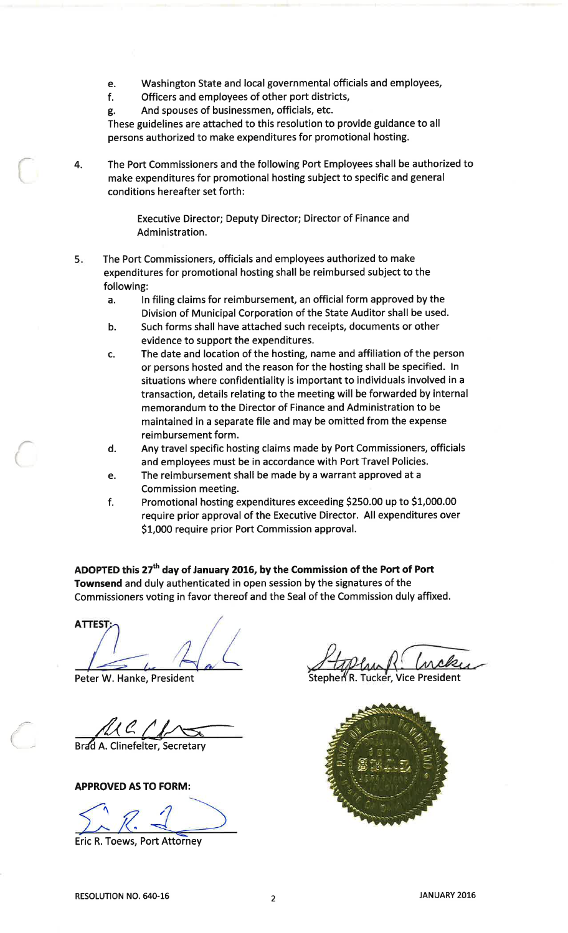- Washington State and local governmental officials and employees, e.
- Officers and employees of other port districts,  $f$
- And spouses of businessmen, officials, etc. g.

These guidelines are attached to this resolution to provide guidance to all persons authorized to make expenditures for promotional hosting.

The Port Commissioners and the following Port Employees shall be authorized to 4. make expenditures for promotional hosting subject to specific and general conditions hereafter set forth:

> Executive Director; Deputy Director; Director of Finance and Administration.

- The Port Commissioners, officials and employees authorized to make  $5.$ expenditures for promotional hosting shall be reimbursed subject to the following:
	- In filing claims for reimbursement, an official form approved by the a. Division of Municipal Corporation of the State Auditor shall be used.
	- Such forms shall have attached such receipts, documents or other  $h$ . evidence to support the expenditures.
	- The date and location of the hosting, name and affiliation of the person  $\mathbf{c}$ . or persons hosted and the reason for the hosting shall be specified. In situations where confidentiality is important to individuals involved in a transaction, details relating to the meeting will be forwarded by internal memorandum to the Director of Finance and Administration to be maintained in a separate file and may be omitted from the expense reimbursement form.
	- Any travel specific hosting claims made by Port Commissioners, officials d. and employees must be in accordance with Port Travel Policies.
	- The reimbursement shall be made by a warrant approved at a e. Commission meeting.
	- Promotional hosting expenditures exceeding \$250.00 up to \$1,000.00 f. require prior approval of the Executive Director. All expenditures over \$1,000 require prior Port Commission approval.

ADOPTED this 27<sup>th</sup> day of January 2016, by the Commission of the Port of Port Townsend and duly authenticated in open session by the signatures of the Commissioners voting in favor thereof and the Seal of the Commission duly affixed.

**ATTEST** 

Peter W. Hanke, President

Brad A. Clinefelter, Secretary

**APPROVED AS TO FORM:** 

**Eric R. Toews, Port Attorney** 

Stephen R. Tucker, Vice President

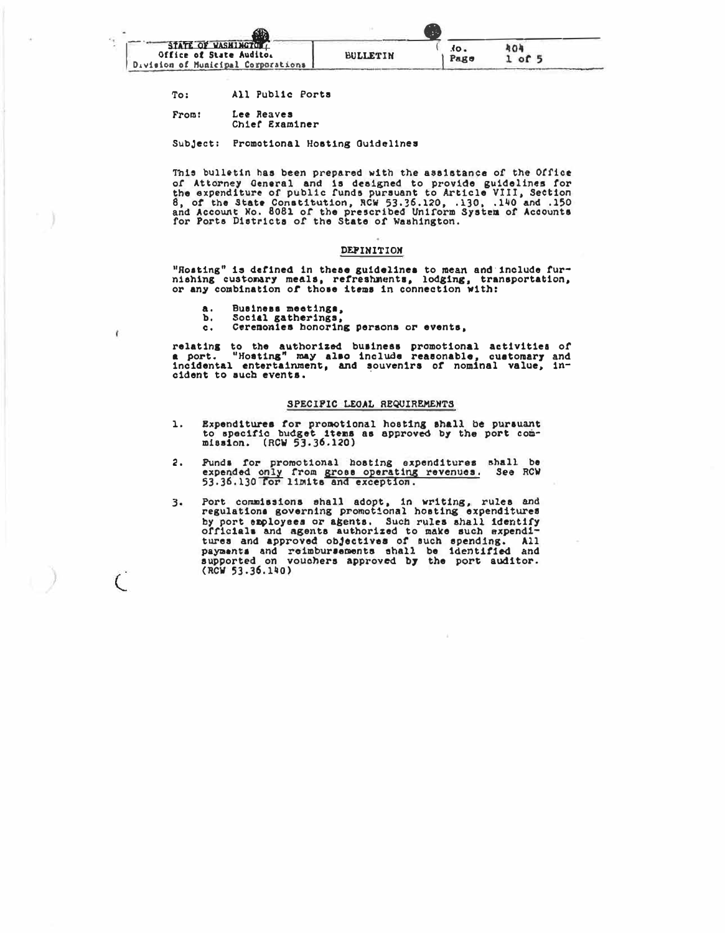

- All Public Ports To:
- Lee Reaves From: Chief Examiner

Subject: Promotional Hosting Guidelines

This bulletin has been prepared with the assistance of the Office of Attorney General and is designed to provide guidelines for<br>the expenditure of public funds pursuant to Article VIII, Section<br>8, of the State Constitution, RCW 53.36.120, .130, .140 and .150<br>and Account No. 8081 of the p

## DEPINITION

"Rosting" is defined in these guidelines to mean and include fur-<br>nishing customary meals, refreshments, lodging, transportation,<br>or any combination of those items in connection with:

- a. Business meetings,
- Ъ.

ł

 $\overline{C}$ 

Social gatherings,<br>Cerenonies honoring persons or events,  $c<sub>1</sub>$ 

relating to the authorized business promotional activities of<br>a port. "Hosting" may also include reasonable, customary and<br>incidental entertainment, and souvenirs of nominal value, incident to such events.

### SPECIFIC LEOAL REQUIREMENTS

- Expenditures for promotional hosting shall be pursuant to specific budget items as approved by the port comı. mission. (RCW 53.36.120)
- Punds for promotional hosting expenditures shall be expended only from gross operating revenues. See RCW 53.36.130 for limits and exception. 2.
- Port commissions shall adopt, in writing, rules and<br>regulations governing promotional hosting expenditures  $3.$ by port employees or agents. Such rules shall identify officials and agents authorized to make such expenditures and approved objectives of such spending. All payments and reimbursements shall be identified and supported on vouchers approved by the port auditor.  $(RCV 53.36.140)$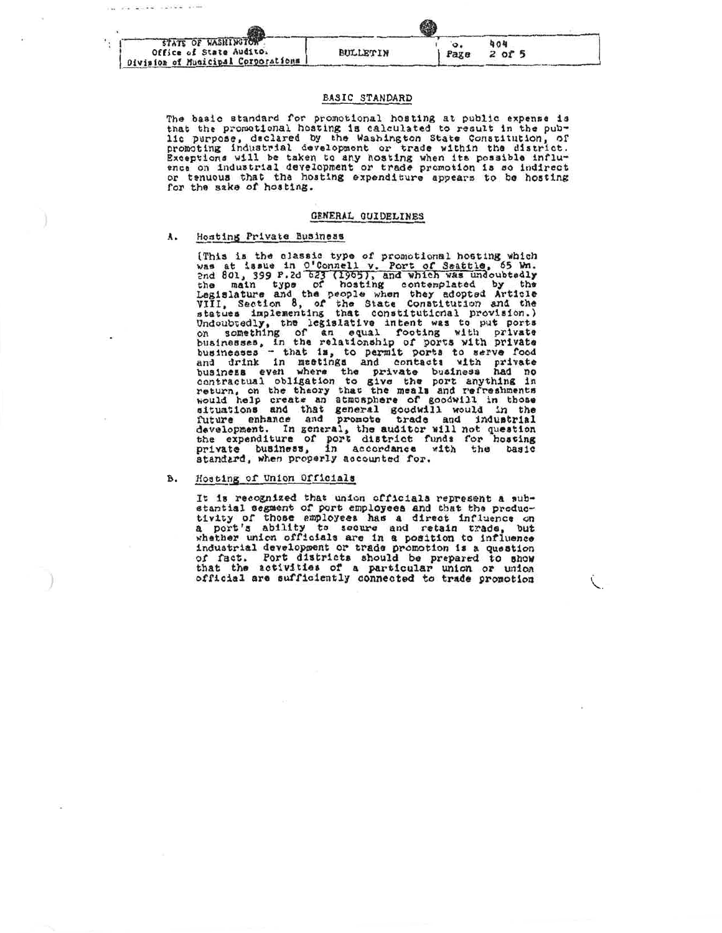| STATE OF WASHINGTON<br>Office of State Audito.<br>Division of Municipal Corporations, | BULLETIN | Page | 404<br>$2$ of 5 |  |
|---------------------------------------------------------------------------------------|----------|------|-----------------|--|

## BASIC STANDARD

The basic standard for promotional hosting at public expense is that the promotional hosting is calculated to result in the publie purpose, declared by the Washington State Constitution, of promoting industrial development or trade within the district. Exceptions will be taken to any hosting when its possible influ-<br>ence on industrial development or trade promotion is so indirect or tenuous that the hosting expenditure appears to be hosting for the sake of hosting.

### GENERAL GUIDELINES

#### Hosting Private Business A.

Hosting Private Business<br>(This is the classic type of promotional hosting which<br>was at issue in 0.1Connell v. Port of Seattle, 55 Wm.<br>and 801, 399 P.2d 523 (1965), and which was undoubtedly<br>the main type of hosting contemp standard, when properly accounted for.

#### Hosting of Union Officials B.

It is recognized that union officials represent a substantial segment of port employees and that the produc-<br>tivity of those employees has a direct influence on<br>a port's ability to secure and retain trade, but<br>whether union officials are in a position to influence<br>industrial of fact. Port districts should be prepared to show<br>that the activities of a particular union or union<br>official are sufficiently connected to trade promotion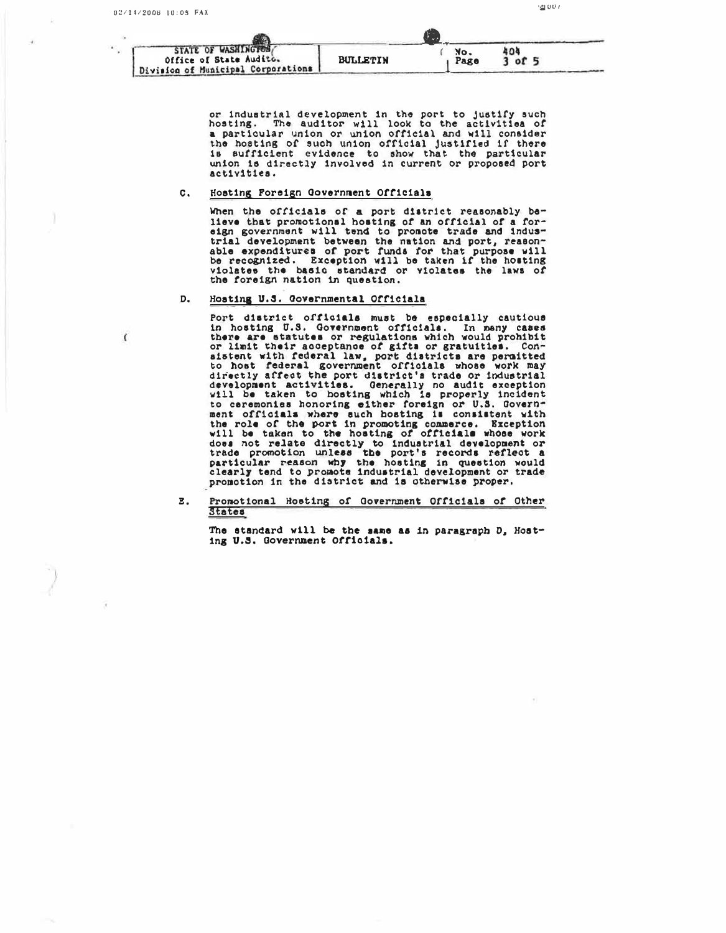Division of Municipal Corporations

ΩÙ,

 $\mathcal{L}_{\mathcal{L}}$ 

| <b>STATE OF WASHINGTON</b><br>Office of State Audito. | <b>BULLETIN</b> | No.<br>Page | ΩF |  |
|-------------------------------------------------------|-----------------|-------------|----|--|

JU DI 1

or industrial development in the port to justify such hosting. The auditor will look to the activities of a particular union or union official and will consider the hosting of such union official justified if there is sufficient evidence to show that the particular union is directly involved in current or proposed port activities.

#### $\mathbf{c}$ . Hosting Foreign Government Officials

When the officials of a port district reasonably be-Heve that promotional hosting of an official of a for-<br>eign government will tend to promote trade and indus-<br>trial development between the nation and port, reason-<br>able expenditures of port funds for that purpose will be recognized. Exception will be taken if the hosting violates the basic standard or violates the laws of the foreign nation in question.

#### Hosting U.S. Governmental Officiala D.

Port district officials must be especially cautious<br>in hosting U.S. Government officials. In many cases there are statutes or regulations which would prohibit or limit their acceptance of gifts or gratuities.  $Con$ sistent with federal law, port districts are permitted<br>to host federal government officials whose work may<br>directly affect the port district's trade or industrial development activities. Generally no audit exception will be taken to hosting which is properly incident to ceremonies honoring either foreign or U.S. Governto ceremonies nonoring either ioreign or U.S. Uovern-<br>ment officials where such hosting is consistent with<br>the role of the port in promoting commerce. Exception<br>will be taken to the hosting of officials whose work<br>does not promotion in the district and is otherwise proper.

#### Pronotional Hosting of Government Officials of Other  $E<sub>z</sub>$ States

The standard will be the same as in paragraph D, Hosting U.S. Government Officials.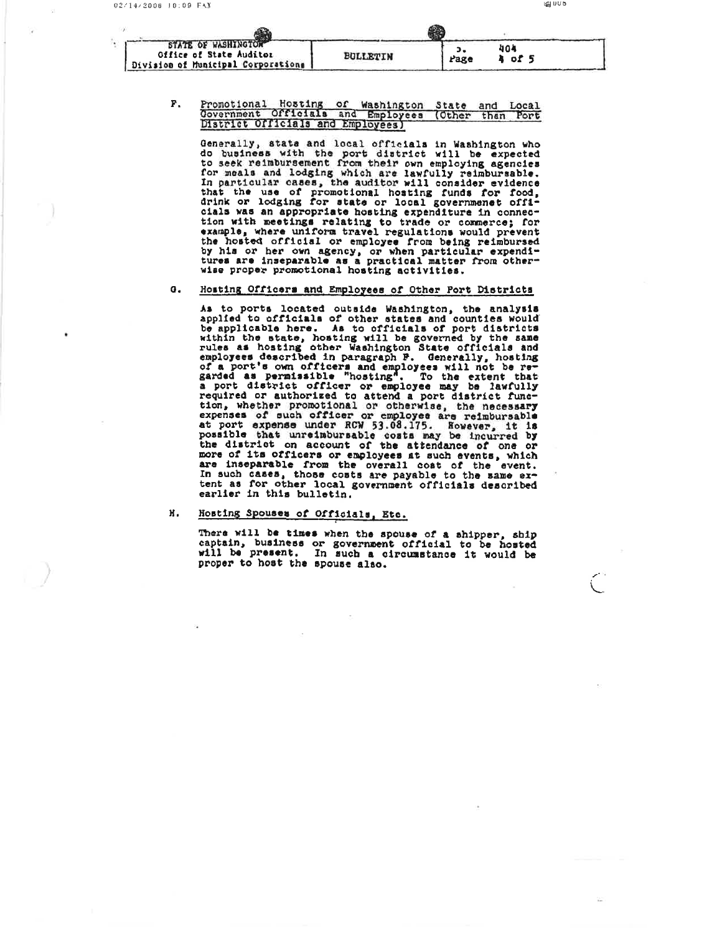# Promotional Hosting of Washington State and Local<br>Government Officials and Employees (Other than Port District Officials and Employees) **F.**

Generally, state and local officials in Washington who<br>do business with the port district will be expected<br>to seek reimbursement from their own employing agencies<br>for meals and lodging which are lawfully reimbursable.<br>In p wise proper promotional hosting activities.

#### Hosting Officers and Employees of Other Port Districts  $\sigma$ .

As to ports located outside Washington, the analysis<br>applied to officials of other states and counties would<br>be applicable here. As to officials of port districts species as hosting with the state, hosting will be applicable here. As to officials of port districts within the state, hosting will be governed by the same rules as hosting other Washington State officials and employees d earlier in this bulletin.

#### Hosting Spouses of Officials, Etc. H.

There will be times when the spouse of a shipper, ship<br>captain, business or government official to be hosted<br>will be present. In such a circumstance it would be proper to host the spouse also.

**LEU UD**